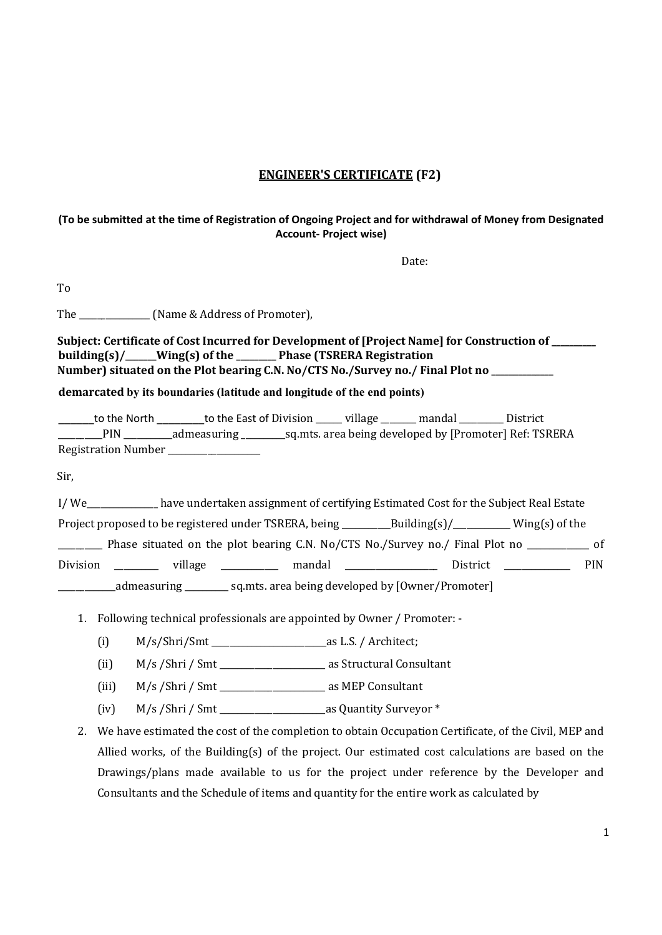### ENGINEER'S CERTIFICATE (F2)

#### (To be submitted at the time of Registration of Ongoing Project and for withdrawal of Money from Designated Account- Project wise)

Date:

To

The \_\_\_\_\_\_\_\_\_\_\_\_\_\_\_\_\_ (Name & Address of Promoter),

| Subject: Certificate of Cost Incurred for Development of [Project Name] for Construction of |  |  |  |  |
|---------------------------------------------------------------------------------------------|--|--|--|--|
| building $(s)/$ _____Wing $(s)$ of the ________ Phase (TSRERA Registration                  |  |  |  |  |
| Number) situated on the Plot bearing C.N. No/CTS No./Survey no./ Final Plot no              |  |  |  |  |

#### demarcated by its boundaries (latitude and longitude of the end points)

\_\_\_\_\_\_to the North \_\_\_\_\_\_\_\_to the East of Division \_\_\_\_\_\_ village \_\_\_\_\_\_\_\_ mandal \_\_\_\_\_\_\_\_\_\_ District \_\_\_\_\_\_\_\_\_\_PIN \_\_\_\_\_\_\_\_\_\_\_admeasuring \_\_\_\_\_\_\_\_\_\_sq.mts. area being developed by [Promoter] Ref: TSRERA Registration Number \_\_\_\_\_\_\_\_\_\_\_\_\_\_\_\_\_\_\_\_\_

Sir,

| I/We                                                                 |         |  | have undertaken assignment of certifying Estimated Cost for the Subject Real Estate                                                                                                                                                               |            |
|----------------------------------------------------------------------|---------|--|---------------------------------------------------------------------------------------------------------------------------------------------------------------------------------------------------------------------------------------------------|------------|
|                                                                      |         |  |                                                                                                                                                                                                                                                   |            |
|                                                                      |         |  | Phase situated on the plot bearing C.N. No/CTS No./Survey no./ Final Plot no                                                                                                                                                                      | - of       |
| Division                                                             | village |  | mandal and the control of the control of the control of the control of the control of the control of the control of the control of the control of the control of the control of the control of the control of the control of t<br><b>District</b> | <b>PIN</b> |
| [sq.mts. area being developed by [Owner/Promoter]<br>_admeasuring __ |         |  |                                                                                                                                                                                                                                                   |            |

- 1. Following technical professionals are appointed by Owner / Promoter:
	- (i) M/s/Shri/Smt \_\_\_\_\_\_\_\_\_\_\_\_\_\_\_\_\_\_\_\_\_\_\_\_\_\_as L.S. / Architect;
	- (ii) M/s /Shri / Smt \_\_\_\_\_\_\_\_\_\_\_\_\_\_\_\_\_\_\_\_\_\_\_\_ as Structural Consultant
	- (iii) M/s /Shri / Smt \_\_\_\_\_\_\_\_\_\_\_\_\_\_\_\_\_\_\_\_\_\_\_\_ as MEP Consultant
	- (iv) M/s /Shri / Smt \_\_\_\_\_\_\_\_\_\_\_\_\_\_\_\_\_\_\_\_\_\_\_\_as Quantity Surveyor \*
- 2. We have estimated the cost of the completion to obtain Occupation Certificate, of the Civil, MEP and Allied works, of the Building(s) of the project. Our estimated cost calculations are based on the Drawings/plans made available to us for the project under reference by the Developer and Consultants and the Schedule of items and quantity for the entire work as calculated by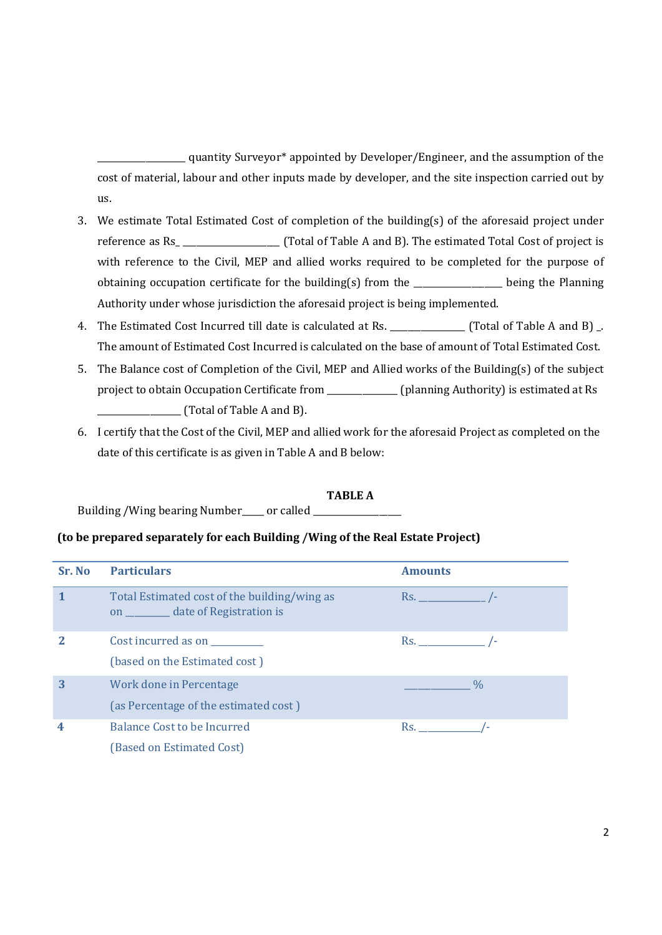quantity Surveyor\* appointed by Developer/Engineer, and the assumption of the cost of material, labour and other inputs made by developer, and the site inspection carried out by us.

- 3. We estimate Total Estimated Cost of completion of the building(s) of the aforesaid project under reference as Rs\_ \_\_\_\_\_\_\_\_\_\_\_\_\_\_\_\_\_\_\_\_\_\_ (Total of Table A and B). The estimated Total Cost of project is with reference to the Civil, MEP and allied works required to be completed for the purpose of obtaining occupation certificate for the building(s) from the \_\_\_\_\_\_\_\_\_\_\_\_\_\_\_\_\_\_\_\_ being the Planning Authority under whose jurisdiction the aforesaid project is being implemented.
- 4. The Estimated Cost Incurred till date is calculated at Rs. \_\_\_\_\_\_\_\_\_\_\_\_\_\_\_\_\_ (Total of Table A and B) \_. The amount of Estimated Cost Incurred is calculated on the base of amount of Total Estimated Cost.
- 5. The Balance cost of Completion of the Civil, MEP and Allied works of the Building(s) of the subject project to obtain Occupation Certificate from \_\_\_\_\_\_\_\_\_\_\_\_\_\_\_\_ (planning Authority) is estimated at Rs  $\begin{array}{ccc} \hline \end{array}$  (Total of Table A and B).
- 6. I certify that the Cost of the Civil, MEP and allied work for the aforesaid Project as completed on the date of this certificate is as given in Table A and B below:

#### TABLE A

Building /Wing bearing Number\_\_\_\_ or called \_

#### (to be prepared separately for each Building /Wing of the Real Estate Project)

| Sr. No | <b>Particulars</b>                                                                     | <b>Amounts</b>    |
|--------|----------------------------------------------------------------------------------------|-------------------|
|        | Total Estimated cost of the building/wing as<br>on ___________ date of Registration is | $Rs.$ /-          |
|        | Cost incurred as on<br>(based on the Estimated cost)                                   | $\mathsf{Rs.}$ /- |
| 3      | Work done in Percentage<br>(as Percentage of the estimated cost)                       | $\frac{0}{0}$     |
| 4      | Balance Cost to be Incurred<br>(Based on Estimated Cost)                               | $\mathsf{Rs.}$    |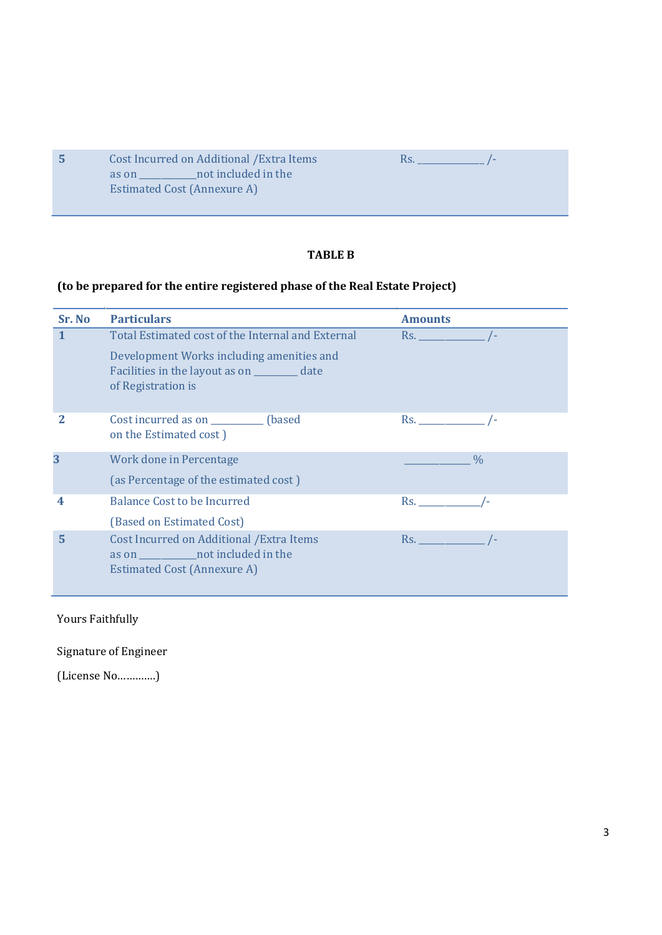| -5. | Cost Incurred on Additional / Extra Items | KS. |  |
|-----|-------------------------------------------|-----|--|
|     | not included in the<br>as on              |     |  |
|     | Estimated Cost (Annexure A)               |     |  |
|     |                                           |     |  |

# TABLE B

## (to be prepared for the entire registered phase of the Real Estate Project)

| Sr. No | <b>Particulars</b>                                                                                                          | <b>Amounts</b>                |
|--------|-----------------------------------------------------------------------------------------------------------------------------|-------------------------------|
|        | Total Estimated cost of the Internal and External                                                                           | $\mathsf{Rs.}$ /-             |
|        | Development Works including amenities and<br>Facilities in the layout as on __________ date<br>of Registration is           |                               |
| 2      | Cost incurred as on ___________ (based<br>on the Estimated cost)                                                            | $\mathsf{Rs.}$ /-             |
| 3      | Work done in Percentage                                                                                                     | $\frac{0}{0}$                 |
|        | (as Percentage of the estimated cost)                                                                                       |                               |
| 4      | <b>Balance Cost to be Incurred</b>                                                                                          | Rs. <b>Exercise Strategie</b> |
|        | (Based on Estimated Cost)                                                                                                   |                               |
| 5      | Cost Incurred on Additional / Extra Items<br>as on ______________ not included in the<br><b>Estimated Cost (Annexure A)</b> | $Rs.$ /-                      |

Yours Faithfully

Signature of Engineer

(License No………….)